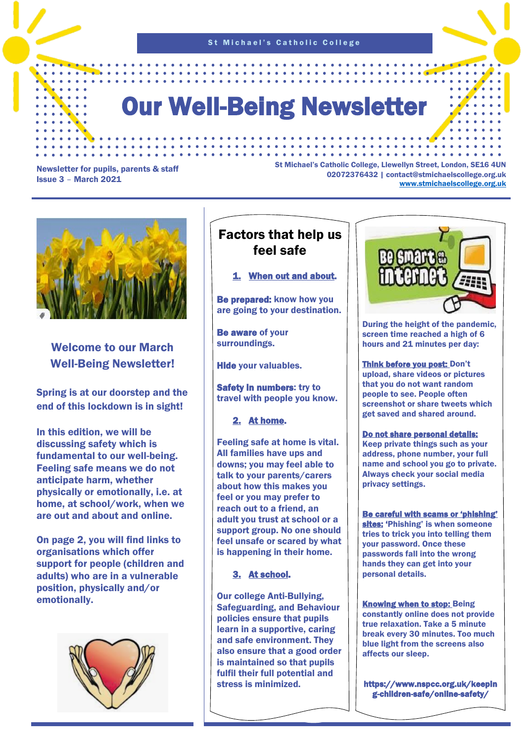St Michael's Catholic College

# Our Well-Being Newsletter

#### Newsletter for pupils, parents & staff Issue 3 – March 2021

St Michael's Catholic College, Llewellyn Street, London, SE16 4UN 02072376432 | contact@stmichaelscollege.org.uk [www.stmichaelscollege.org.uk](http://www.stmichaelscollege.org.uk/)

. . . . . . . . . . . . . . . . . .



## Welcome to our March Well-Being Newsletter!

Spring is at our doorstep and the end of this lockdown is in sight!

In this edition, we will be discussing safety which is fundamental to our well-being. Feeling safe means we do not anticipate harm, whether physically or emotionally, i.e. at home, at school/work, when we are out and about and online.

On page 2, you will find links to organisations which offer support for people (children and adults) who are in a vulnerable position, physically and/or emotionally.



# Factors that help us feel safe

### 1. When out and about.

Be prepared: know how you are going to your destination.

Be aware of your surroundings.

Hide your valuables.

Safety in numbers: try to travel with people you know.

2. At home.

Feeling safe at home is vital. All families have ups and downs; you may feel able to talk to your parents/carers about how this makes you feel or you may prefer to reach out to a friend, an adult you trust at school or a support group. No one should feel unsafe or scared by what is happening in their home.

### 3. At school.

Our college Anti-Bullying, Safeguarding, and Behaviour policies ensure that pupils learn in a supportive, caring and safe environment. They also ensure that a good order is maintained so that pupils fulfil their full potential and stress is minimized.



During the height of the pandemic, screen time reached a high of 6 hours and 21 minutes per day:

Think before you post: Don't upload, share videos or pictures that you do not want random people to see. People often screenshot or share tweets which get saved and shared around.

Do not share personal details: Keep private things such as your address, phone number, your full name and school you go to private. Always check your social media privacy settings.

Be careful with scams or 'phishing' sites: 'Phishing' is when someone tries to trick you into telling them your password. Once these passwords fall into the wrong hands they can get into your personal details.

Knowing when to stop: Being constantly online does not provide true relaxation. Take a 5 minute break every 30 minutes. Too much blue light from the screens also affects our sleep.

https://www.nspcc.org.uk/keepin g-children-safe/online-safety/